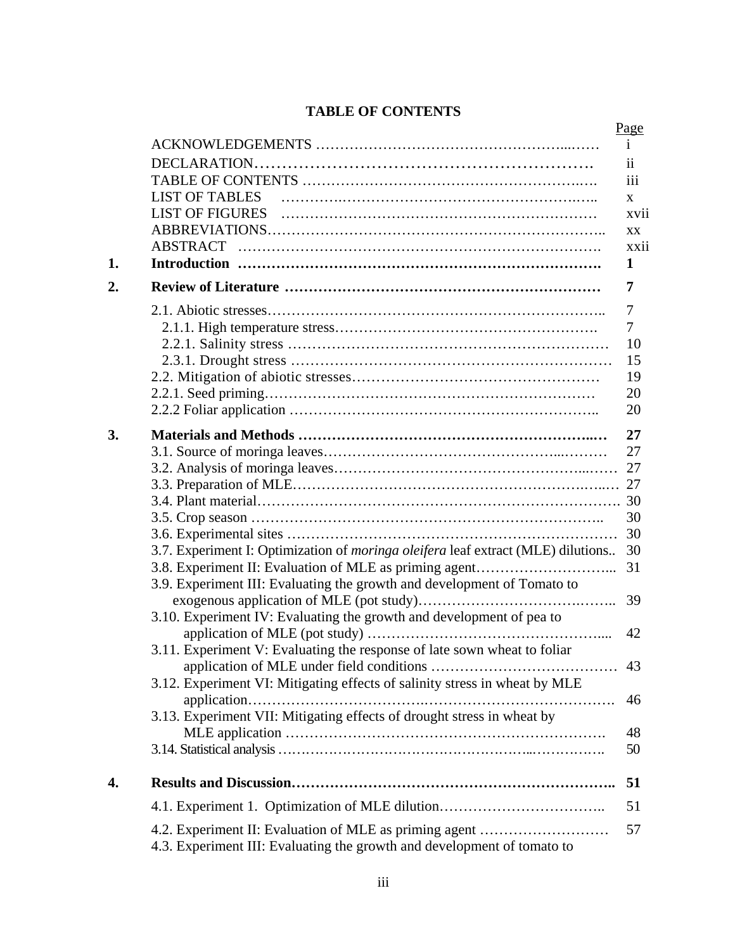## **TABLE OF CONTENTS**

|    |                                                                                                                                   | Page         |
|----|-----------------------------------------------------------------------------------------------------------------------------------|--------------|
|    |                                                                                                                                   | i.           |
|    |                                                                                                                                   | ii           |
|    |                                                                                                                                   | iii          |
|    | <b>LIST OF TABLES</b>                                                                                                             | $\mathbf{x}$ |
|    | <b>LIST OF FIGURES</b>                                                                                                            | xvii         |
|    |                                                                                                                                   | XX           |
|    |                                                                                                                                   | xxii         |
| 1. |                                                                                                                                   | 1            |
|    |                                                                                                                                   |              |
| 2. |                                                                                                                                   | 7            |
|    |                                                                                                                                   | 7            |
|    |                                                                                                                                   | 7            |
|    |                                                                                                                                   | 10           |
|    |                                                                                                                                   | 15           |
|    |                                                                                                                                   | 19           |
|    |                                                                                                                                   | 20           |
|    |                                                                                                                                   | 20           |
| 3. |                                                                                                                                   | 27           |
|    |                                                                                                                                   | 27           |
|    |                                                                                                                                   |              |
|    |                                                                                                                                   |              |
|    |                                                                                                                                   |              |
|    |                                                                                                                                   | 30           |
|    |                                                                                                                                   | 30           |
|    | 3.7. Experiment I: Optimization of <i>moringa oleifera</i> leaf extract (MLE) dilutions                                           | 30           |
|    |                                                                                                                                   | 31           |
|    | 3.9. Experiment III: Evaluating the growth and development of Tomato to                                                           |              |
|    |                                                                                                                                   | 39           |
|    | 3.10. Experiment IV: Evaluating the growth and development of pea to                                                              |              |
|    |                                                                                                                                   | 42           |
|    | 3.11. Experiment V: Evaluating the response of late sown wheat to foliar                                                          |              |
|    |                                                                                                                                   | 43           |
|    | 3.12. Experiment VI: Mitigating effects of salinity stress in wheat by MLE                                                        |              |
|    |                                                                                                                                   | 46           |
|    | 3.13. Experiment VII: Mitigating effects of drought stress in wheat by                                                            |              |
|    |                                                                                                                                   | 48           |
|    |                                                                                                                                   | 50           |
|    |                                                                                                                                   |              |
| 4. |                                                                                                                                   | 51           |
|    | 4.1. Experiment 1. Optimization of MLE dilution                                                                                   | 51           |
|    | 4.2. Experiment II: Evaluation of MLE as priming agent<br>4.3. Experiment III: Evaluating the growth and development of tomato to | 57           |